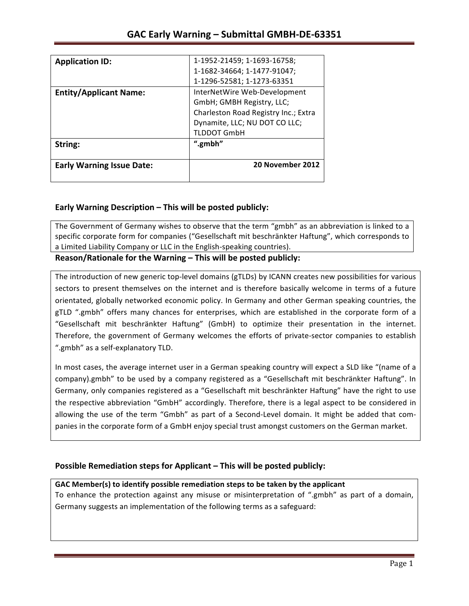| <b>Application ID:</b>           | 1-1952-21459; 1-1693-16758;          |
|----------------------------------|--------------------------------------|
|                                  | 1-1682-34664; 1-1477-91047;          |
|                                  | 1-1296-52581; 1-1273-63351           |
| <b>Entity/Applicant Name:</b>    | InterNetWire Web-Development         |
|                                  | GmbH; GMBH Registry, LLC;            |
|                                  | Charleston Road Registry Inc.; Extra |
|                                  | Dynamite, LLC; NU DOT CO LLC;        |
|                                  | TLDDOT GmbH                          |
| String:                          | ".gmbh"                              |
|                                  |                                      |
| <b>Early Warning Issue Date:</b> | 20 November 2012                     |
|                                  |                                      |

## **Early Warning Description – This will be posted publicly:**

The Government of Germany wishes to observe that the term "gmbh" as an abbreviation is linked to a specific corporate form for companies ("Gesellschaft mit beschränkter Haftung", which corresponds to a Limited Liability Company or LLC in the English-speaking countries).

Reason/Rationale for the Warning – This will be posted publicly:

The introduction of new generic top-level domains (gTLDs) by ICANN creates new possibilities for various sectors to present themselves on the internet and is therefore basically welcome in terms of a future orientated, globally networked economic policy. In Germany and other German speaking countries, the gTLD ".gmbh" offers many chances for enterprises, which are established in the corporate form of a "Gesellschaft mit beschränkter Haftung" (GmbH) to optimize their presentation in the internet. Therefore, the government of Germany welcomes the efforts of private-sector companies to establish ".gmbh" as a self-explanatory TLD.

In most cases, the average internet user in a German speaking country will expect a SLD like "(name of a company).gmbh" to be used by a company registered as a "Gesellschaft mit beschränkter Haftung". In Germany, only companies registered as a "Gesellschaft mit beschränkter Haftung" have the right to use the respective abbreviation "GmbH" accordingly. Therefore, there is a legal aspect to be considered in allowing the use of the term "Gmbh" as part of a Second-Level domain. It might be added that companies in the corporate form of a GmbH enjoy special trust amongst customers on the German market.

### **Possible Remediation steps for Applicant – This will be posted publicly:**

### GAC Member(s) to identify possible remediation steps to be taken by the applicant

To enhance the protection against any misuse or misinterpretation of ".gmbh" as part of a domain, Germany suggests an implementation of the following terms as a safeguard: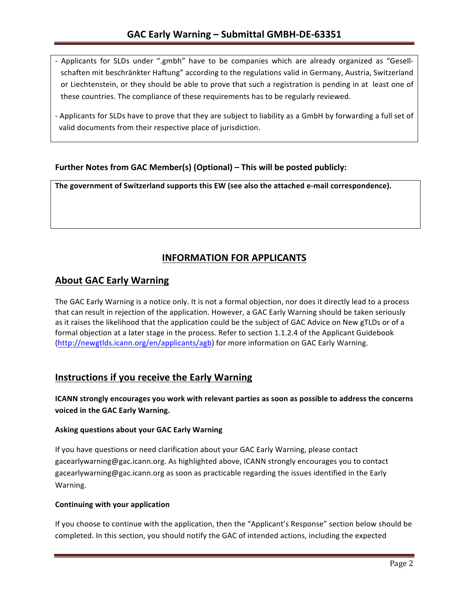- Applicants for SLDs under ".gmbh" have to be companies which are already organized as "Gesellschaften mit beschränkter Haftung" according to the regulations valid in Germany, Austria, Switzerland or Liechtenstein, or they should be able to prove that such a registration is pending in at least one of these countries. The compliance of these requirements has to be regularly reviewed.
- Applicants for SLDs have to prove that they are subject to liability as a GmbH by forwarding a full set of valid documents from their respective place of jurisdiction.

## **Further Notes from GAC Member(s) (Optional)** – This will be posted publicly:

The government of Switzerland supports this EW (see also the attached e-mail correspondence).

# **INFORMATION FOR APPLICANTS**

## **About GAC Early Warning**

The GAC Early Warning is a notice only. It is not a formal objection, nor does it directly lead to a process that can result in rejection of the application. However, a GAC Early Warning should be taken seriously as it raises the likelihood that the application could be the subject of GAC Advice on New gTLDs or of a formal objection at a later stage in the process. Refer to section 1.1.2.4 of the Applicant Guidebook (http://newgtlds.icann.org/en/applicants/agb) for more information on GAC Early Warning.

# **Instructions if you receive the Early Warning**

**ICANN** strongly encourages you work with relevant parties as soon as possible to address the concerns voiced in the GAC Early Warning.

#### **Asking questions about your GAC Early Warning**

If you have questions or need clarification about your GAC Early Warning, please contact gacearlywarning@gac.icann.org. As highlighted above, ICANN strongly encourages you to contact gacearlywarning@gac.icann.org as soon as practicable regarding the issues identified in the Early Warning. 

#### **Continuing with your application**

If you choose to continue with the application, then the "Applicant's Response" section below should be completed. In this section, you should notify the GAC of intended actions, including the expected